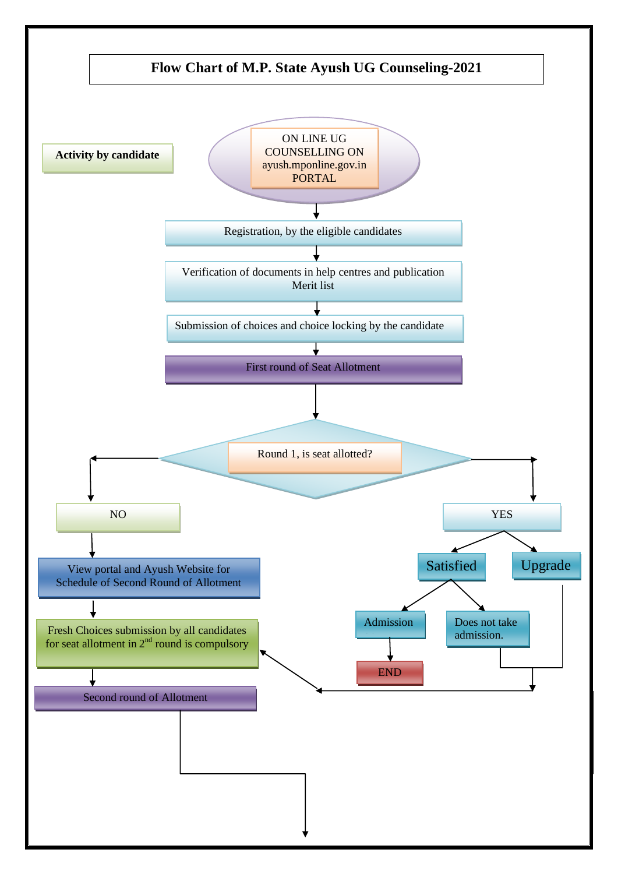